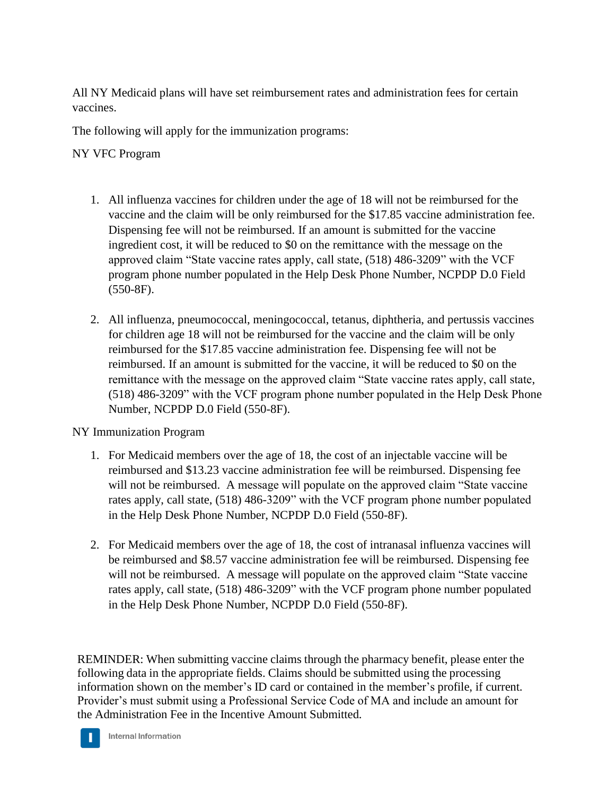All NY Medicaid plans will have set reimbursement rates and administration fees for certain vaccines.

The following will apply for the immunization programs:

NY VFC Program

- 1. All influenza vaccines for children under the age of 18 will not be reimbursed for the vaccine and the claim will be only reimbursed for the \$17.85 vaccine administration fee. Dispensing fee will not be reimbursed. If an amount is submitted for the vaccine ingredient cost, it will be reduced to \$0 on the remittance with the message on the approved claim "State vaccine rates apply, call state, (518) 486-3209" with the VCF program phone number populated in the Help Desk Phone Number, NCPDP D.0 Field (550-8F).
- 2. All influenza, pneumococcal, meningococcal, tetanus, diphtheria, and pertussis vaccines for children age 18 will not be reimbursed for the vaccine and the claim will be only reimbursed for the \$17.85 vaccine administration fee. Dispensing fee will not be reimbursed. If an amount is submitted for the vaccine, it will be reduced to \$0 on the remittance with the message on the approved claim "State vaccine rates apply, call state, (518) 486-3209" with the VCF program phone number populated in the Help Desk Phone Number, NCPDP D.0 Field (550-8F).

NY Immunization Program

- 1. For Medicaid members over the age of 18, the cost of an injectable vaccine will be reimbursed and \$13.23 vaccine administration fee will be reimbursed. Dispensing fee will not be reimbursed. A message will populate on the approved claim "State vaccine" rates apply, call state, (518) 486-3209" with the VCF program phone number populated in the Help Desk Phone Number, NCPDP D.0 Field (550-8F).
- 2. For Medicaid members over the age of 18, the cost of intranasal influenza vaccines will be reimbursed and \$8.57 vaccine administration fee will be reimbursed. Dispensing fee will not be reimbursed. A message will populate on the approved claim "State vaccine" rates apply, call state, (518) 486-3209" with the VCF program phone number populated in the Help Desk Phone Number, NCPDP D.0 Field (550-8F).

REMINDER: When submitting vaccine claims through the pharmacy benefit, please enter the following data in the appropriate fields. Claims should be submitted using the processing information shown on the member's ID card or contained in the member's profile, if current. Provider's must submit using a Professional Service Code of MA and include an amount for the Administration Fee in the Incentive Amount Submitted.